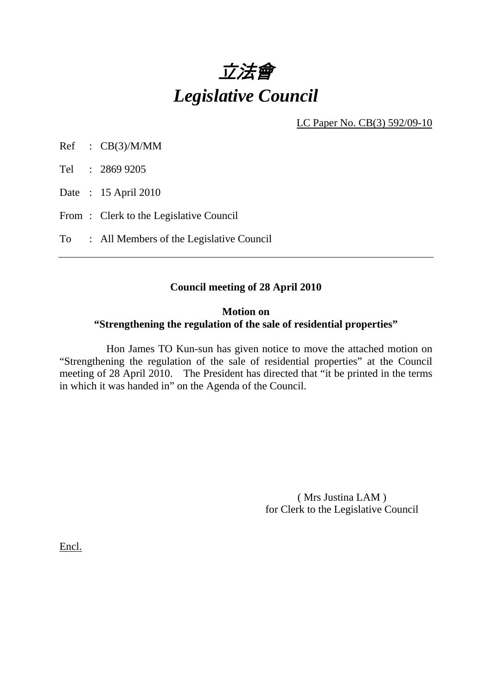

LC Paper No. CB(3) 592/09-10

Ref : CB(3)/M/MM

Tel : 2869 9205

Date : 15 April 2010

From: Clerk to the Legislative Council

To : All Members of the Legislative Council

## **Council meeting of 28 April 2010**

#### **Motion on**

### **"Strengthening the regulation of the sale of residential properties"**

 Hon James TO Kun-sun has given notice to move the attached motion on "Strengthening the regulation of the sale of residential properties" at the Council meeting of 28 April 2010. The President has directed that "it be printed in the terms in which it was handed in" on the Agenda of the Council.

> ( Mrs Justina LAM ) for Clerk to the Legislative Council

Encl.